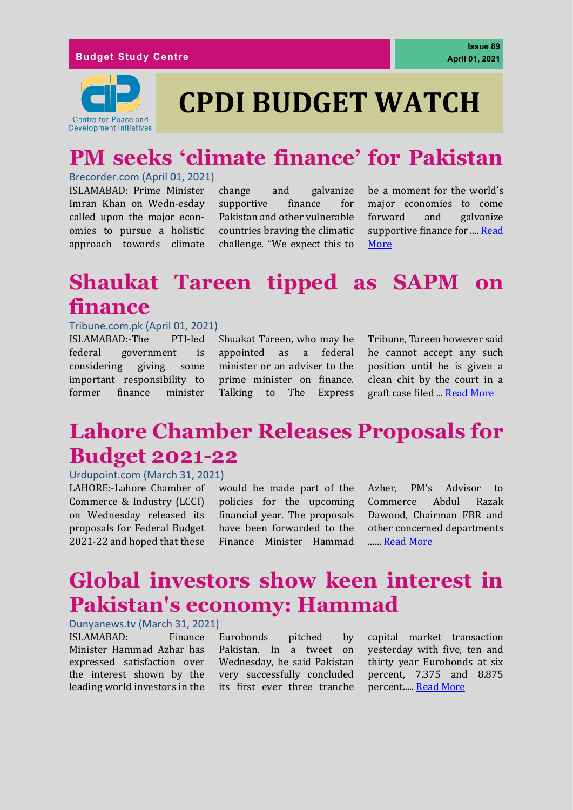# **CPDI BUDGET WATCH**

# **PM seeks 'climate finance' for Pakistan**

#### Brecorder.com (April 01, 2021)

ISLAMABAD: Prime Minister Imran Khan on Wedn-esday called upon the major economies to pursue a holistic approach towards climate

change and galvanize supportive finance for Pakistan and other vulnerable countries braving the climatic challenge. "We expect this to

be a moment for the world's major economies to come forward and galvanize supportive finance for ...[. Read](https://www.brecorder.com/news/40079953/pm-seeks-climate-finance-for-pakistan)  [More](https://www.brecorder.com/news/40079953/pm-seeks-climate-finance-for-pakistan)

## **Shaukat Tareen tipped as SAPM on finance**

#### Tribune.com.pk (April 01, 2021)

ISLAMABAD:-The PTI-led federal government is considering giving some important responsibility to former finance minister

Shuakat Tareen, who may be appointed as a federal minister or an adviser to the prime minister on finance. Talking to The Express

Tribune, Tareen however said he cannot accept any such position until he is given a clean chit by the court in a graft case filed ... [Read More](https://tribune.com.pk/story/2292576/shaukat-tareen-tipped-as-sapm-on-finance)

### **Lahore Chamber Releases Proposals for Budget 2021-22**

#### Urdupoint.com (March 31, 2021)

LAHORE:-Lahore Chamber of Commerce & Industry (LCCI) on Wednesday released its proposals for Federal Budget 2021-22 and hoped that these

would be made part of the policies for the upcoming financial year. The proposals have been forwarded to the Finance Minister Hammad Azher, PM's Advisor to Commerce Abdul Razak Dawood, Chairman FBR and other concerned departments .....[. Read More](https://www.urdupoint.com/en/business/lahore-chamber-releases-proposals-for-budget-1210315.html)

### **Global investors show keen interest in Pakistan's economy: Hammad**

Dunyanews.tv (March 31, 2021)

ISLAMABAD: Finance Minister Hammad Azhar has expressed satisfaction over the interest shown by the leading world investors in the

Eurobonds pitched by Pakistan. In a tweet on Wednesday, he said Pakistan very successfully concluded its first ever three tranche

capital market transaction yesterday with five, ten and thirty year Eurobonds at six percent, 7.375 and 8.875 percent....[. Read More](https://dunyanews.tv/en/Business/595060-Global-investors-show-keen-interest-in-Pakistan-economy:-Hammad)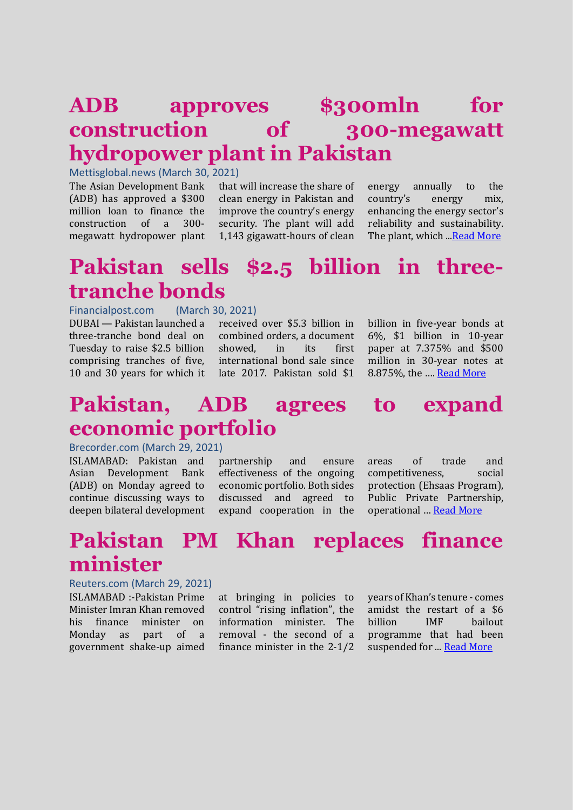### **ADB approves \$300mln for construction of 300-megawatt hydropower plant in Pakistan**

#### Mettisglobal.news (March 30, 2021)

The Asian Development Bank (ADB) has approved a \$300 million loan to finance the construction of a 300 megawatt hydropower plant that will increase the share of clean energy in Pakistan and improve the country's energy security. The plant will add 1,143 gigawatt-hours of clean energy annually to the country's energy mix, enhancing the energy sector's reliability and sustainability. The plant, which ... Read More

#### **Pakistan sells \$2.5 billion in threetranche bonds**

Financialpost.com (March 30, 2021) DUBAI — Pakistan launched a three-tranche bond deal on Tuesday to raise \$2.5 billion comprising tranches of five, 10 and 30 years for which it

received over \$5.3 billion in combined orders, a document showed, in its first international bond sale since late 2017. Pakistan sold \$1

billion in five-year bonds at 6%, \$1 billion in 10-year paper at 7.375% and \$500 million in 30-year notes at 8.875%, the …. [Read More](https://financialpost.com/pmn/business-pmn/pakistan-sells-2-5-billion-in-three-tranche-bonds)

#### **Pakistan, ADB agrees to expand economic portfolio**

#### Brecorder.com (March 29, 2021)

ISLAMABAD: Pakistan and Asian Development Bank (ADB) on Monday agreed to continue discussing ways to deepen bilateral development

partnership and ensure effectiveness of the ongoing economic portfolio. Both sides discussed and agreed to expand cooperation in the areas of trade and competitiveness, social protection (Ehsaas Program), Public Private Partnership, operational … [Read More](https://www.brecorder.com/news/40078825)

### **Pakistan PM Khan replaces finance minister**

#### Reuters.com (March 29, 2021)

ISLAMABAD :-Pakistan Prime Minister Imran Khan removed his finance minister on Monday as part of a government shake-up aimed

at bringing in policies to control "rising inflation", the information minister. The removal - the second of a finance minister in the 2-1/2

years of Khan's tenure - comes amidst the restart of a \$6 billion IMF bailout programme that had been suspended for ... [Read More](https://www.reuters.com/article/pakistan-economy-finmin/pakistan-pm-khan-replaces-finance-minister-idINKBN2BL2FY)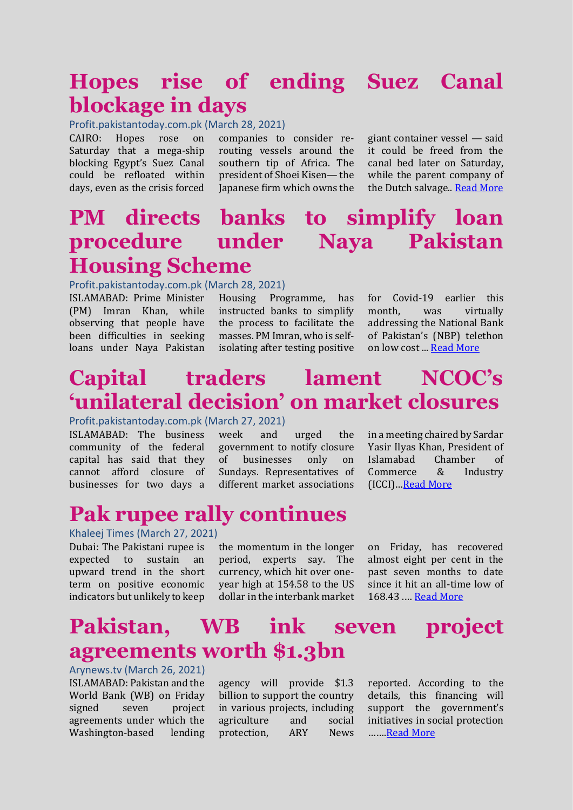### **Hopes rise of ending Suez Canal blockage in days**

Profit.pakistantoday.com.pk (March 28, 2021)

CAIRO: Hopes rose on Saturday that a mega-ship blocking Egypt's Suez Canal could be refloated within days, even as the crisis forced

companies to consider rerouting vessels around the southern tip of Africa. The president of Shoei Kisen— the Japanese firm which owns the

giant container vessel — said it could be freed from the canal bed later on Saturday, while the parent company of the Dutch salvage.[. Read More](https://profit.pakistantoday.com.pk/2021/03/28/hopes-rise-of-ending-suez-canal-blockage-in-days/)

### **PM directs banks to simplify loan procedure under Naya Pakistan Housing Scheme**

Profit.pakistantoday.com.pk (March 28, 2021)

ISLAMABAD: Prime Minister (PM) Imran Khan, while observing that people have been difficulties in seeking loans under Naya Pakistan

Housing Programme, has instructed banks to simplify the process to facilitate the masses. PM Imran, who is selfisolating after testing positive

for Covid-19 earlier this month, was virtually addressing the National Bank of Pakistan's (NBP) telethon on low cost ..[. Read More](https://profit.pakistantoday.com.pk/2021/03/28/pm-directs-banks-to-simplify-loan-procedure-under-naya-pakistan-housing-scheme/)

### **Capital traders lament NCOC's 'unilateral decision' on market closures**

Profit.pakistantoday.com.pk (March 27, 2021)

ISLAMABAD: The business community of the federal capital has said that they cannot afford closure of businesses for two days a week and urged the government to notify closure of businesses only on Sundays. Representatives of different market associations

in a meeting chaired by Sardar Yasir Ilyas Khan, President of Islamabad Chamber of Commerce & Industry (ICCI)…[Read More](https://profit.pakistantoday.com.pk/2021/03/27/capital-traders-lament-ncocs-unilateral-decision-on-market-closures/)

#### **Pak rupee rally continues**

#### Khaleej Times (March 27, 2021)

Dubai: The Pakistani rupee is expected to sustain an upward trend in the short term on positive economic indicators but unlikely to keep

the momentum in the longer period, experts say. The currency, which hit over oneyear high at 154.58 to the US dollar in the interbank market on Friday, has recovered almost eight per cent in the past seven months to date since it hit an all-time low of 168.43 .… [Read More](https://www.khaleejtimes.com/business/pak-rupee-rally-continues)

#### **Pakistan, WB ink seven project agreements worth \$1.3bn**

Arynews.tv (March 26, 2021) ISLAMABAD: Pakistan and the World Bank (WB) on Friday signed seven project agreements under which the Washington-based lending

agency will provide \$1.3 billion to support the country in various projects, including agriculture and social protection, ARY News reported. According to the details, this financing will support the government's initiatives in social protection …… [Read More](https://arynews.tv/en/pakistan-wb-project-agreements/)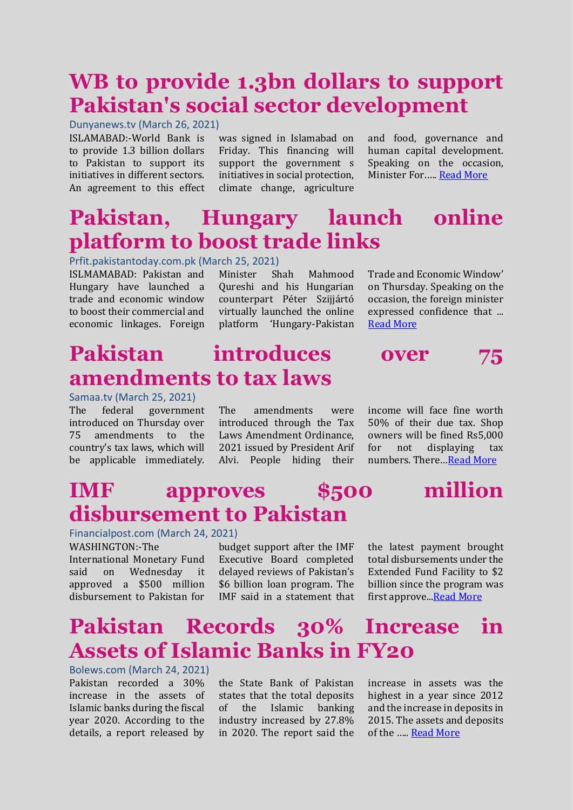### **WB to provide 1.3bn dollars to support Pakistan's social sector development**

Dunyanews.tv (March 26, 2021)

ISLAMABAD:-World Bank is to provide 1.3 billion dollars to Pakistan to support its initiatives in different sectors. An agreement to this effect was signed in Islamabad on Friday. This financing will support the government s initiatives in social protection, climate change, agriculture

and food, governance and human capital development. Speaking on the occasion, Minister For.…. [Read More](https://dunyanews.tv/en/Business/594315-WB-provide-1.3bn-dollars-support-Pakistan-social-sector-development)

# **Pakistan, Hungary launch online platform to boost trade links**

#### Prfit.pakistantoday.com.pk (March 25, 2021)

ISLMAMABAD: Pakistan and Hungary have launched a trade and economic window to boost their commercial and economic linkages. Foreign

Minister Shah Mahmood Qureshi and his Hungarian counterpart Péter Szijjártó virtually launched the online platform 'Hungary-Pakistan

Trade and Economic Window' on Thursday. Speaking on the occasion, the foreign minister expressed confidence that ... [Read More](https://profit.pakistantoday.com.pk/2021/03/25/pakistan-hungary-launch-online-platform-to-boost-trade-links/)

# **Pakistan introduces over 75 amendments to tax laws**

Samaa.tv (March 25, 2021) The federal government introduced on Thursday over 75 amendments to the country's tax laws, which will be applicable immediately.

The amendments were introduced through the Tax Laws Amendment Ordinance, 2021 issued by President Arif Alvi. People hiding their income will face fine worth 50% of their due tax. Shop owners will be fined Rs5,000 for not displaying tax numbers. There…[Read More](https://www.samaa.tv/news/2021/03/pakistan-introduces-over-75-amendments-to-tax-laws/)

### **IMF approves \$500 million disbursement to Pakistan**

Financialpost.com (March 24, 2021)

WASHINGTON:-The International Monetary Fund said on Wednesday it approved a \$500 million disbursement to Pakistan for

budget support after the IMF Executive Board completed delayed reviews of Pakistan's \$6 billion loan program. The IMF said in a statement that

the latest payment brought total disbursements under the Extended Fund Facility to \$2 billion since the program was first approve.[..Read More](https://financialpost.com/pmn/business-pmn/imf-approves-500-million-disbursement-to-pakistan-2)

### **Pakistan Records 30% Increase in Assets of Islamic Banks in FY20**

Bolews.com (March 24, 2021) Pakistan recorded a 30% increase in the assets of Islamic banks during the fiscal year 2020. According to the details, a report released by

the State Bank of Pakistan states that the total deposits of the Islamic banking industry increased by 27.8% in 2020. The report said the

increase in assets was the highest in a year since 2012 and the increase in deposits in 2015. The assets and deposits of the ….. [Read More](https://www.bolnews.com/business/2021/03/pakistan-records-30-increase-in-assets-of-islamic-banks-in-fy20/)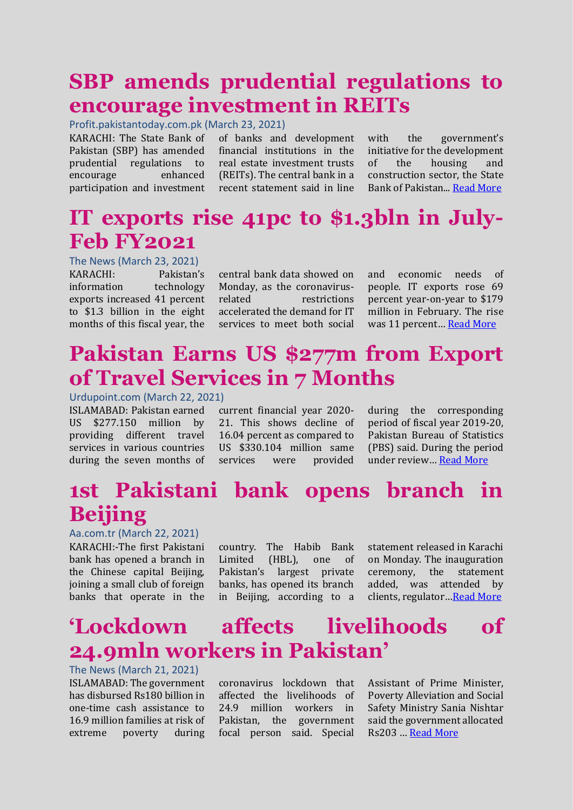### **SBP amends prudential regulations to encourage investment in REITs**

Profit.pakistantoday.com.pk (March 23, 2021)

KARACHI: The State Bank of Pakistan (SBP) has amended prudential regulations to encourage enhanced participation and investment of banks and development financial institutions in the real estate investment trusts (REITs). The central bank in a recent statement said in line

with the government's initiative for the development of the housing and construction sector, the State Bank of Pakistan..[. Read More](https://profit.pakistantoday.com.pk/2021/03/23/sbp-amends-prudential-regulations-to-encourage-investment-in-reits/)

#### **IT exports rise 41pc to \$1.3bln in July-Feb FY2021**

The News (March 23, 2021)

KARACHI: Pakistan's information technology exports increased 41 percent to \$1.3 billion in the eight months of this fiscal year, the

central bank data showed on Monday, as the coronavirusrelated restrictions accelerated the demand for IT services to meet both social and economic needs of people. IT exports rose 69 percent year-on-year to \$179 million in February. The rise was 11 percent… [Read More](https://www.thenews.com.pk/print/808423-it-exports-rise-41pc-to-1-3bln-in-july-feb-fy2021)

### **Pakistan Earns US \$277m from Export of Travel Services in 7 Months**

#### Urdupoint.com (March 22, 2021)

ISLAMABAD: Pakistan earned US \$277.150 million by providing different travel services in various countries during the seven months of

current financial year 2020- 21. This shows decline of 16.04 percent as compared to US \$330.104 million same services were provided

during the corresponding period of fiscal year 2019-20, Pakistan Bureau of Statistics (PBS) said. During the period under review… [Read More](https://www.urdupoint.com/en/business/pakistan-earns-us-277m-from-export-of-travel-1200850.html)

# **1st Pakistani bank opens branch in Beijing**

#### Aa.com.tr (March 22, 2021)

KARACHI:-The first Pakistani bank has opened a branch in the Chinese capital Beijing, joining a small club of foreign banks that operate in the

country. The Habib Bank Limited (HBL), one of Pakistan's largest private banks, has opened its branch in Beijing, according to a statement released in Karachi on Monday. The inauguration ceremony, the statement added, was attended by clients, regulator…[Read More](https://www.aa.com.tr/en/asia-pacific/1st-pakistani-bank-opens-branch-in-beijing/2184030)

## **'Lockdown affects livelihoods of 24.9mln workers in Pakistan'**

The News (March 21, 2021) ISLAMABAD: The government has disbursed Rs180 billion in one-time cash assistance to 16.9 million families at risk of extreme poverty during

coronavirus lockdown that affected the livelihoods of 24.9 million workers in Pakistan, the government focal person said. Special

Assistant of Prime Minister, Poverty Alleviation and Social Safety Ministry Sania Nishtar said the government allocated Rs203 … [Read More](https://www.thenews.com.pk/print/807376-lockdown-affects-livelihoods-of-24-9mln-workers-in-pakistan)